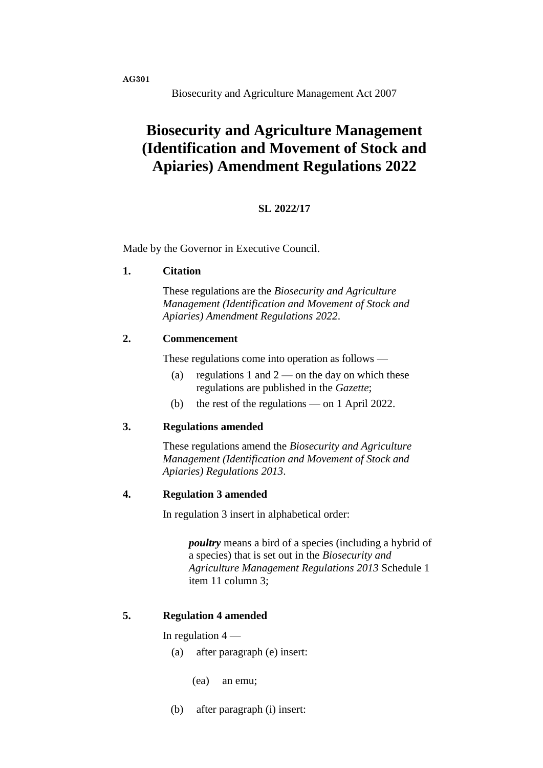**AG301**

Biosecurity and Agriculture Management Act 2007

# **Biosecurity and Agriculture Management (Identification and Movement of Stock and Apiaries) Amendment Regulations 2022**

## **SL 2022/17**

Made by the Governor in Executive Council.

#### **1. Citation**

These regulations are the *Biosecurity and Agriculture Management (Identification and Movement of Stock and Apiaries) Amendment Regulations 2022*.

### **2. Commencement**

These regulations come into operation as follows —

- (a) regulations 1 and  $2$  on the day on which these regulations are published in the *Gazette*;
- (b) the rest of the regulations on 1 April 2022.

#### **3. Regulations amended**

These regulations amend the *Biosecurity and Agriculture Management (Identification and Movement of Stock and Apiaries) Regulations 2013*.

#### **4. Regulation 3 amended**

In regulation 3 insert in alphabetical order:

*poultry* means a bird of a species (including a hybrid of a species) that is set out in the *Biosecurity and Agriculture Management Regulations 2013* Schedule 1 item 11 column 3;

## **5. Regulation 4 amended**

In regulation  $4-$ 

- (a) after paragraph (e) insert:
	- (ea) an emu;
- (b) after paragraph (i) insert: